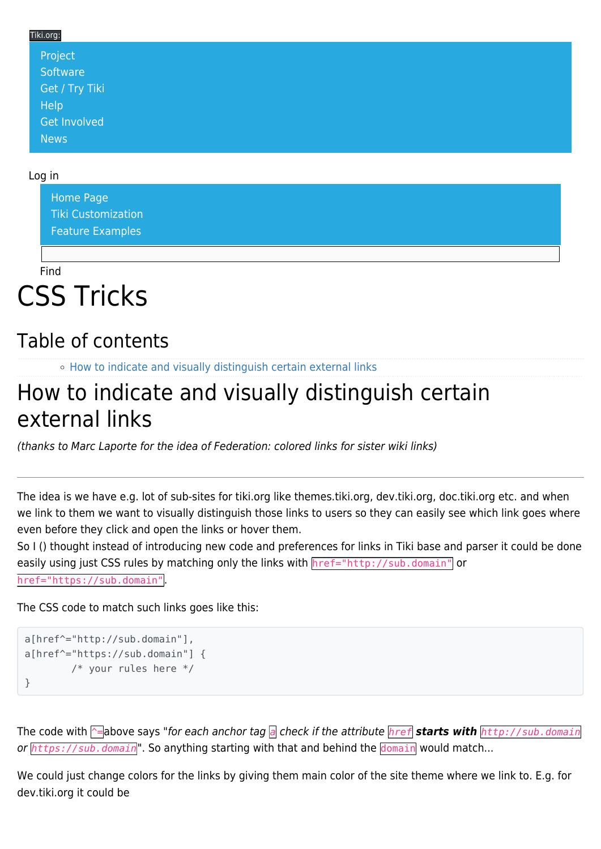## Tiki.org: [Project](https://tiki.org/Project Introduction) **[Software](https://tiki.org/Software Overview and Model)** [Get / Try Tiki](https://tiki.org/Get Tiki - Try Tiki) **[Help](https://tiki.org/Get Help)**

Log in

[News](https://tiki.org/News)

[Get Involved](https://tiki.org/Get Involved)

[Home Page](https://themes.tiki.org/Themes) [Tiki Customization](https://themes.tiki.org/Tiki-Customization) [Feature Examples](#page--1-0)

Find

## CSS Tricks

## Table of contents

o [How to indicate and visually distinguish certain external links](#page--1-0)

## How to indicate and visually distinguish certain external links

(thanks to Marc Laporte for the idea of Federation: colored links for sister wiki links)

The idea is we have e.g. lot of sub-sites for tiki.org like themes.tiki.org, dev.tiki.org, doc.tiki.org etc. and when we link to them we want to visually distinguish those links to users so they can easily see which link goes where even before they click and open the links or hover them.

So I () thought instead of introducing new code and preferences for links in Tiki base and parser it could be done easily using just CSS rules by matching only the links with href="http://sub.domain" or

href="https://sub.domain".

The CSS code to match such links goes like this:

```
a[href^="http://sub.domain"],
a[href^="https://sub.domain"] {
         /* your rules here */
}
```
The code with ^=above says "for each anchor tag *a* check if the attribute *href starts with http://sub.domain* or *https://sub.domain*". So anything starting with that and behind the domain would match...

We could just change colors for the links by giving them main color of the site theme where we link to. E.g. for dev.tiki.org it could be